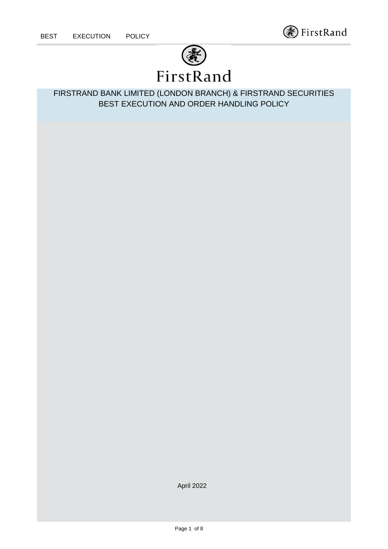continued



FIRSTRAND BANK LIMITED (LONDON BRANCH) & FIRSTRAND SECURITIES BEST EXECUTION AND ORDER HANDLING POLICY

April 2022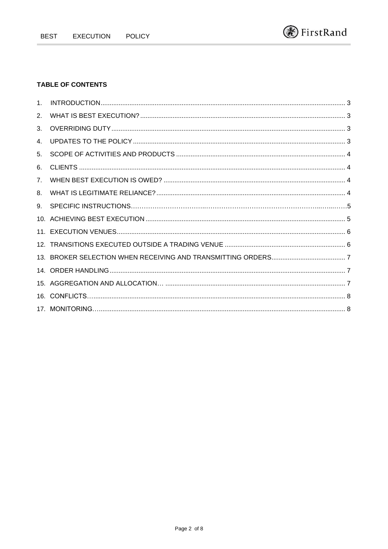# **TABLE OF CONTENTS**

| 1 <sub>1</sub> |  |
|----------------|--|
| 2.             |  |
| 3.             |  |
| 4.             |  |
| 5.             |  |
| 6.             |  |
| 7.             |  |
| 8.             |  |
| 9.             |  |
|                |  |
|                |  |
|                |  |
|                |  |
|                |  |
|                |  |
|                |  |
|                |  |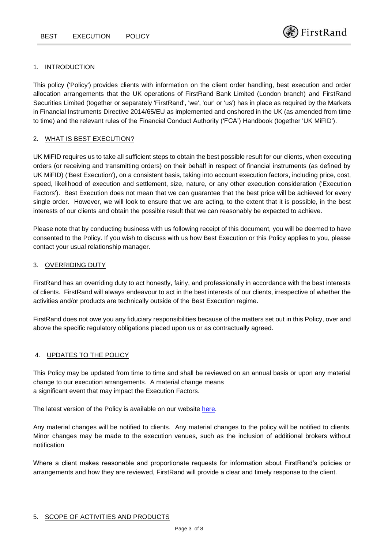#### 1. INTRODUCTION

continued

This policy ('Policy') provides clients with information on the client order handling, best execution and order allocation arrangements that the UK operations of FirstRand Bank Limited (London branch) and FirstRand Securities Limited (together or separately 'FirstRand', 'we', 'our' or 'us') has in place as required by the Markets in Financial Instruments Directive 2014/65/EU as implemented and onshored in the UK (as amended from time to time) and the relevant rules of the Financial Conduct Authority ('FCA') Handbook (together 'UK MiFID').

#### 2. WHAT IS BEST EXECUTION?

UK MiFID requires us to take all sufficient steps to obtain the best possible result for our clients, when executing orders (or receiving and transmitting orders) on their behalf in respect of financial instruments (as defined by UK MiFID) ('Best Execution'), on a consistent basis, taking into account execution factors, including price, cost, speed, likelihood of execution and settlement, size, nature, or any other execution consideration ('Execution Factors'). Best Execution does not mean that we can guarantee that the best price will be achieved for every single order. However, we will look to ensure that we are acting, to the extent that it is possible, in the best interests of our clients and obtain the possible result that we can reasonably be expected to achieve.

Please note that by conducting business with us following receipt of this document, you will be deemed to have consented to the Policy. If you wish to discuss with us how Best Execution or this Policy applies to you, please contact your usual relationship manager.

#### 3. OVERRIDING DUTY

FirstRand has an overriding duty to act honestly, fairly, and professionally in accordance with the best interests of clients. FirstRand will always endeavour to act in the best interests of our clients, irrespective of whether the activities and/or products are technically outside of the Best Execution regime.

FirstRand does not owe you any fiduciary responsibilities because of the matters set out in this Policy, over and above the specific regulatory obligations placed upon us or as contractually agreed.

# 4. UPDATES TO THE POLICY

This Policy may be updated from time to time and shall be reviewed on an annual basis or upon any material change to our execution arrangements. A material change means a significant event that may impact the Execution Factors.

The latest version of the Policy is available on our website [here.](https://www.rmb.co.uk/page/regulatory-disclosure)

Any material changes will be notified to clients. Any material changes to the policy will be notified to clients. Minor changes may be made to the execution venues, such as the inclusion of additional brokers without notification

Where a client makes reasonable and proportionate requests for information about FirstRand's policies or arrangements and how they are reviewed, FirstRand will provide a clear and timely response to the client.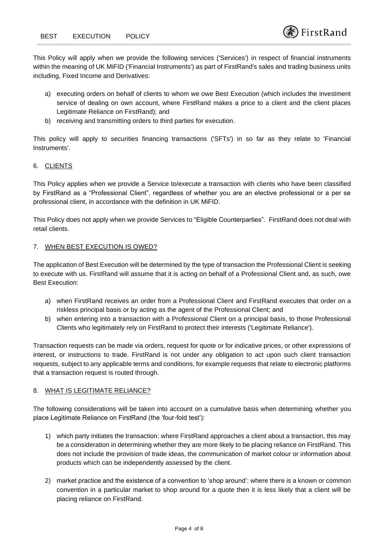This Policy will apply when we provide the following services ('Services') in respect of financial instruments within the meaning of UK MiFID ('Financial Instruments') as part of FirstRand's sales and trading business units including, Fixed Income and Derivatives:

- a) executing orders on behalf of clients to whom we owe Best Execution (which includes the investment service of dealing on own account, where FirstRand makes a price to a client and the client places Legitimate Reliance on FirstRand); and
- b) receiving and transmitting orders to third parties for execution.

This policy will apply to securities financing transactions ('SFTs') in so far as they relate to 'Financial Instruments'.

# 6. CLIENTS

continued

This Policy applies when we provide a Service to/execute a transaction with clients who have been classified by FirstRand as a "Professional Client", regardless of whether you are an elective professional or a per se professional client, in accordance with the definition in UK MiFID.

This Policy does not apply when we provide Services to "Eligible Counterparties". FirstRand does not deal with retail clients.

# 7. WHEN BEST EXECUTION IS OWED?

The application of Best Execution will be determined by the type of transaction the Professional Client is seeking to execute with us. FirstRand will assume that it is acting on behalf of a Professional Client and, as such, owe Best Execution:

- a) when FirstRand receives an order from a Professional Client and FirstRand executes that order on a riskless principal basis or by acting as the agent of the Professional Client; and
- b) when entering into a transaction with a Professional Client on a principal basis, to those Professional Clients who legitimately rely on FirstRand to protect their interests ('Legitimate Reliance').

Transaction requests can be made via orders, request for quote or for indicative prices, or other expressions of interest, or instructions to trade. FirstRand is not under any obligation to act upon such client transaction requests, subject to any applicable terms and conditions, for example requests that relate to electronic platforms that a transaction request is routed through.

# 8. WHAT IS LEGITIMATE RELIANCE?

The following considerations will be taken into account on a cumulative basis when determining whether you place Legitimate Reliance on FirstRand (the 'four-fold test'):

- 1) which party initiates the transaction: where FirstRand approaches a client about a transaction, this may be a consideration in determining whether they are more likely to be placing reliance on FirstRand. This does not include the provision of trade ideas, the communication of market colour or information about products which can be independently assessed by the client.
- 2) market practice and the existence of a convention to 'shop around': where there is a known or common convention in a particular market to shop around for a quote then it is less likely that a client will be placing reliance on FirstRand.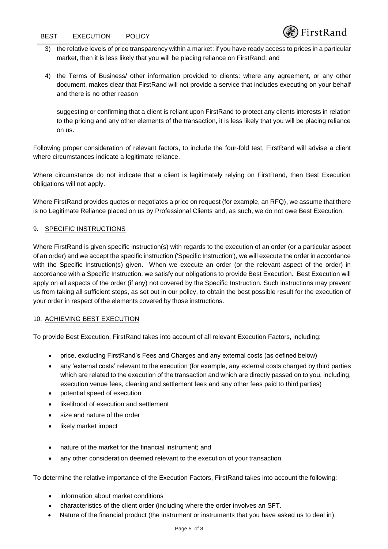- 3) the relative levels of price transparency within a market: if you have ready access to prices in a particular market, then it is less likely that you will be placing reliance on FirstRand; and
- 4) the Terms of Business/ other information provided to clients: where any agreement, or any other document, makes clear that FirstRand will not provide a service that includes executing on your behalf and there is no other reason

suggesting or confirming that a client is reliant upon FirstRand to protect any clients interests in relation to the pricing and any other elements of the transaction, it is less likely that you will be placing reliance on us.

Following proper consideration of relevant factors, to include the four-fold test, FirstRand will advise a client where circumstances indicate a legitimate reliance.

Where circumstance do not indicate that a client is legitimately relying on FirstRand, then Best Execution obligations will not apply.

Where FirstRand provides quotes or negotiates a price on request (for example, an RFQ), we assume that there is no Legitimate Reliance placed on us by Professional Clients and, as such, we do not owe Best Execution.

# 9. SPECIFIC INSTRUCTIONS

Where FirstRand is given specific instruction(s) with regards to the execution of an order (or a particular aspect of an order) and we accept the specific instruction ('Specific Instruction'), we will execute the order in accordance with the Specific Instruction(s) given. When we execute an order (or the relevant aspect of the order) in accordance with a Specific Instruction, we satisfy our obligations to provide Best Execution. Best Execution will apply on all aspects of the order (if any) not covered by the Specific Instruction. Such instructions may prevent us from taking all sufficient steps, as set out in our policy, to obtain the best possible result for the execution of your order in respect of the elements covered by those instructions.

# 10. ACHIEVING BEST EXECUTION

To provide Best Execution, FirstRand takes into account of all relevant Execution Factors, including:

- price, excluding FirstRand's Fees and Charges and any external costs (as defined below)
- any 'external costs' relevant to the execution (for example, any external costs charged by third parties which are related to the execution of the transaction and which are directly passed on to you, including, execution venue fees, clearing and settlement fees and any other fees paid to third parties)
- potential speed of execution
- likelihood of execution and settlement
- size and nature of the order
- likely market impact
- nature of the market for the financial instrument; and
- any other consideration deemed relevant to the execution of your transaction.

To determine the relative importance of the Execution Factors, FirstRand takes into account the following:

- information about market conditions
- characteristics of the client order (including where the order involves an SFT.
- Nature of the financial product (the instrument or instruments that you have asked us to deal in).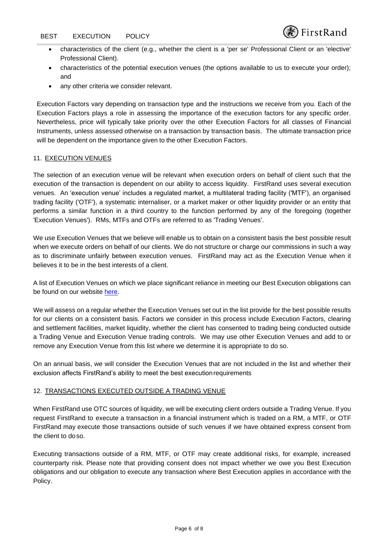- characteristics of the client (e.g., whether the client is a 'per se' Professional Client or an 'elective' Professional Client).
	- characteristics of the potential execution venues (the options available to us to execute your order); and
	- any other criteria we consider relevant.

Execution Factors vary depending on transaction type and the instructions we receive from you. Each of the Execution Factors plays a role in assessing the importance of the execution factors for any specific order. Nevertheless, price will typically take priority over the other Execution Factors for all classes of Financial Instruments, unless assessed otherwise on a transaction by transaction basis. The ultimate transaction price will be dependent on the importance given to the other Execution Factors.

# 11. EXECUTION VENUES

The selection of an execution venue will be relevant when execution orders on behalf of client such that the execution of the transaction is dependent on our ability to access liquidity. FirstRand uses several execution venues. An 'execution venue' includes a regulated market, a multilateral trading facility ('MTF'), an organised trading facility ('OTF'), a systematic internaliser, or a market maker or other liquidity provider or an entity that performs a similar function in a third country to the function performed by any of the foregoing (together 'Execution Venues'). RMs, MTFs and OTFs are referred to as 'Trading Venues'.

We use Execution Venues that we believe will enable us to obtain on a consistent basis the best possible result when we execute orders on behalf of our clients. We do not structure or charge our commissions in such a way as to discriminate unfairly between execution venues. FirstRand may act as the Execution Venue when it believes it to be in the best interests of a client.

A list of Execution Venues on which we place significant reliance in meeting our Best Execution obligations can be found on our website [here.](https://www.rmb.co.uk/page/regulatory-disclosure)

We will assess on a regular whether the Execution Venues set out in the list provide for the best possible results for our clients on a consistent basis. Factors we consider in this process include Execution Factors, clearing and settlement facilities, market liquidity, whether the client has consented to trading being conducted outside a Trading Venue and Execution Venue trading controls. We may use other Execution Venues and add to or remove any Execution Venue from this list where we determine it is appropriate to do so.

On an annual basis, we will consider the Execution Venues that are not included in the list and whether their exclusion affects FirstRand's ability to meet the best executionrequirements

#### 12. TRANSACTIONS EXECUTED OUTSIDE A TRADING VENUE

When FirstRand use OTC sources of liquidity, we will be executing client orders outside a Trading Venue. If you request FirstRand to execute a transaction in a financial instrument which is traded on a RM, a MTF, or OTF FirstRand may execute those transactions outside of such venues if we have obtained express consent from the client to doso.

Executing transactions outside of a RM, MTF, or OTF may create additional risks, for example, increased counterparty risk. Please note that providing consent does not impact whether we owe you Best Execution obligations and our obligation to execute any transaction where Best Execution applies in accordance with the Policy.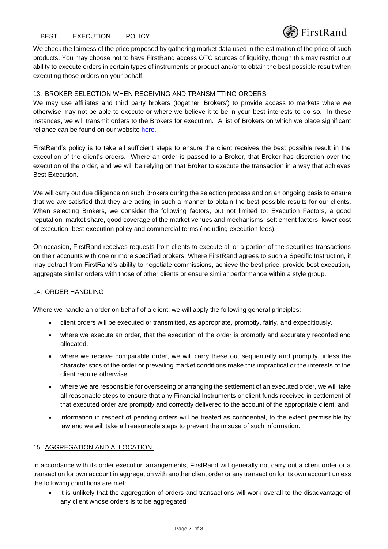We check the fairness of the price proposed by gathering market data used in the estimation of the price of such products. You may choose not to have FirstRand access OTC sources of liquidity, though this may restrict our ability to execute orders in certain types of instruments or product and/or to obtain the best possible result when executing those orders on your behalf.

# 13. BROKER SELECTION WHEN RECEIVING AND TRANSMITTING ORDERS

We may use affiliates and third party brokers (together 'Brokers') to provide access to markets where we otherwise may not be able to execute or where we believe it to be in your best interests to do so. In these instances, we will transmit orders to the Brokers for execution. A list of Brokers on which we place significant reliance can be found on our website [here.](https://www.rmb.co.uk/page/regulatory-disclosure)

FirstRand's policy is to take all sufficient steps to ensure the client receives the best possible result in the execution of the client's orders. Where an order is passed to a Broker, that Broker has discretion over the execution of the order, and we will be relying on that Broker to execute the transaction in a way that achieves Best Execution.

We will carry out due diligence on such Brokers during the selection process and on an ongoing basis to ensure that we are satisfied that they are acting in such a manner to obtain the best possible results for our clients. When selecting Brokers, we consider the following factors, but not limited to: Execution Factors, a good reputation, market share, good coverage of the market venues and mechanisms, settlement factors, lower cost of execution, best execution policy and commercial terms (including execution fees).

On occasion, FirstRand receives requests from clients to execute all or a portion of the securities transactions on their accounts with one or more specified brokers. Where FirstRand agrees to such a Specific Instruction, it may detract from FirstRand's ability to negotiate commissions, achieve the best price, provide best execution, aggregate similar orders with those of other clients or ensure similar performance within a style group.

# 14. ORDER HANDLING

Where we handle an order on behalf of a client, we will apply the following general principles:

- client orders will be executed or transmitted, as appropriate, promptly, fairly, and expeditiously.
- where we execute an order, that the execution of the order is promptly and accurately recorded and allocated.
- where we receive comparable order, we will carry these out sequentially and promptly unless the characteristics of the order or prevailing market conditions make this impractical or the interests of the client require otherwise.
- where we are responsible for overseeing or arranging the settlement of an executed order, we will take all reasonable steps to ensure that any Financial Instruments or client funds received in settlement of that executed order are promptly and correctly delivered to the account of the appropriate client; and
- information in respect of pending orders will be treated as confidential, to the extent permissible by law and we will take all reasonable steps to prevent the misuse of such information.

# 15. AGGREGATION AND ALLOCATION

In accordance with its order execution arrangements, FirstRand will generally not carry out a client order or a transaction for own account in aggregation with another client order or any transaction for its own account unless the following conditions are met:

• it is unlikely that the aggregation of orders and transactions will work overall to the disadvantage of any client whose orders is to be aggregated